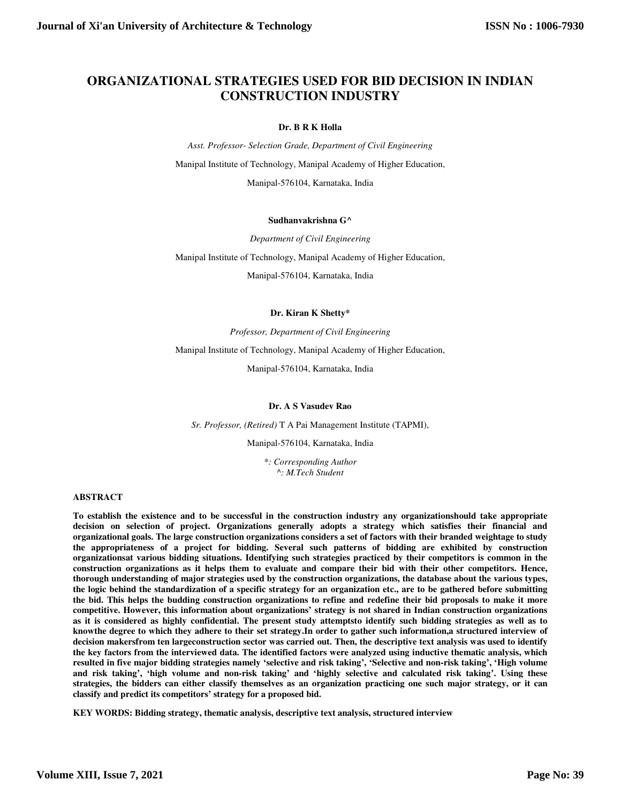# **ORGANIZATIONAL STRATEGIES USED FOR BID DECISION IN INDIAN CONSTRUCTION INDUSTRY**

#### **Dr. B R K Holla**

*Asst. Professor- Selection Grade, Department of Civil Engineering*  Manipal Institute of Technology, Manipal Academy of Higher Education, Manipal-576104, Karnataka, India

#### **Sudhanvakrishna G^**

*Department of Civil Engineering* 

Manipal Institute of Technology, Manipal Academy of Higher Education,

Manipal-576104, Karnataka, India

#### **Dr. Kiran K Shetty\***

*Professor, Department of Civil Engineering* 

Manipal Institute of Technology, Manipal Academy of Higher Education,

Manipal-576104, Karnataka, India

#### **Dr. A S Vasudev Rao**

*Sr. Professor, (Retired)* T A Pai Management Institute (TAPMI),

Manipal-576104, Karnataka, India

*\*: Corresponding Author ^: M.Tech Student* 

#### **ABSTRACT**

**To establish the existence and to be successful in the construction industry any organizationshould take appropriate decision on selection of project. Organizations generally adopts a strategy which satisfies their financial and organizational goals. The large construction organizations considers a set of factors with their branded weightage to study the appropriateness of a project for bidding. Several such patterns of bidding are exhibited by construction organizationsat various bidding situations. Identifying such strategies practiced by their competitors is common in the construction organizations as it helps them to evaluate and compare their bid with their other competitors. Hence, thorough understanding of major strategies used by the construction organizations, the database about the various types, the logic behind the standardization of a specific strategy for an organization etc., are to be gathered before submitting the bid. This helps the budding construction organizations to refine and redefine their bid proposals to make it more competitive. However, this information about organizations' strategy is not shared in Indian construction organizations as it is considered as highly confidential. The present study attemptsto identify such bidding strategies as well as to knowthe degree to which they adhere to their set strategy.In order to gather such information,a structured interview of decision makersfrom ten largeconstruction sector was carried out. Then, the descriptive text analysis was used to identify the key factors from the interviewed data. The identified factors were analyzed using inductive thematic analysis, which resulted in five major bidding strategies namely 'selective and risk taking', 'Selective and non-risk taking', 'High volume and risk taking', 'high volume and non-risk taking' and 'highly selective and calculated risk taking'. Using these strategies, the bidders can either classify themselves as an organization practicing one such major strategy, or it can classify and predict its competitors' strategy for a proposed bid.** 

**KEY WORDS: Bidding strategy, thematic analysis, descriptive text analysis, structured interview**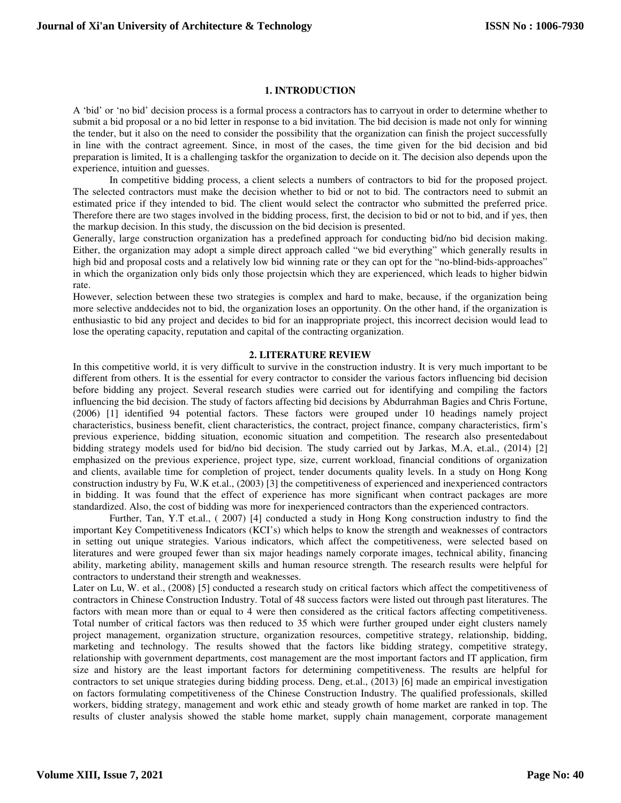## **1. INTRODUCTION**

A 'bid' or 'no bid' decision process is a formal process a contractors has to carryout in order to determine whether to submit a bid proposal or a no bid letter in response to a bid invitation. The bid decision is made not only for winning the tender, but it also on the need to consider the possibility that the organization can finish the project successfully in line with the contract agreement. Since, in most of the cases, the time given for the bid decision and bid preparation is limited, It is a challenging taskfor the organization to decide on it. The decision also depends upon the experience, intuition and guesses.

In competitive bidding process, a client selects a numbers of contractors to bid for the proposed project. The selected contractors must make the decision whether to bid or not to bid. The contractors need to submit an estimated price if they intended to bid. The client would select the contractor who submitted the preferred price. Therefore there are two stages involved in the bidding process, first, the decision to bid or not to bid, and if yes, then the markup decision. In this study, the discussion on the bid decision is presented.

Generally, large construction organization has a predefined approach for conducting bid/no bid decision making. Either, the organization may adopt a simple direct approach called "we bid everything" which generally results in high bid and proposal costs and a relatively low bid winning rate or they can opt for the "no-blind-bids-approaches" in which the organization only bids only those projectsin which they are experienced, which leads to higher bidwin rate.

However, selection between these two strategies is complex and hard to make, because, if the organization being more selective anddecides not to bid, the organization loses an opportunity. On the other hand, if the organization is enthusiastic to bid any project and decides to bid for an inappropriate project, this incorrect decision would lead to lose the operating capacity, reputation and capital of the contracting organization.

#### **2. LITERATURE REVIEW**

In this competitive world, it is very difficult to survive in the construction industry. It is very much important to be different from others. It is the essential for every contractor to consider the various factors influencing bid decision before bidding any project. Several research studies were carried out for identifying and compiling the factors influencing the bid decision. The study of factors affecting bid decisions by Abdurrahman Bagies and Chris Fortune, (2006) [1] identified 94 potential factors. These factors were grouped under 10 headings namely project characteristics, business benefit, client characteristics, the contract, project finance, company characteristics, firm's previous experience, bidding situation, economic situation and competition. The research also presentedabout bidding strategy models used for bid/no bid decision. The study carried out by Jarkas, M.A, et.al., (2014) [2] emphasized on the previous experience, project type, size, current workload, financial conditions of organization and clients, available time for completion of project, tender documents quality levels. In a study on Hong Kong construction industry by Fu, W.K et.al., (2003) [3] the competitiveness of experienced and inexperienced contractors in bidding. It was found that the effect of experience has more significant when contract packages are more standardized. Also, the cost of bidding was more for inexperienced contractors than the experienced contractors.

Further, Tan, Y.T et.al., ( 2007) [4] conducted a study in Hong Kong construction industry to find the important Key Competitiveness Indicators (KCI's) which helps to know the strength and weaknesses of contractors in setting out unique strategies. Various indicators, which affect the competitiveness, were selected based on literatures and were grouped fewer than six major headings namely corporate images, technical ability, financing ability, marketing ability, management skills and human resource strength. The research results were helpful for contractors to understand their strength and weaknesses.

Later on Lu, W. et al., (2008) [5] conducted a research study on critical factors which affect the competitiveness of contractors in Chinese Construction Industry. Total of 48 success factors were listed out through past literatures. The factors with mean more than or equal to 4 were then considered as the critical factors affecting competitiveness. Total number of critical factors was then reduced to 35 which were further grouped under eight clusters namely project management, organization structure, organization resources, competitive strategy, relationship, bidding, marketing and technology. The results showed that the factors like bidding strategy, competitive strategy, relationship with government departments, cost management are the most important factors and IT application, firm size and history are the least important factors for determining competitiveness. The results are helpful for contractors to set unique strategies during bidding process. Deng, et.al., (2013) [6] made an empirical investigation on factors formulating competitiveness of the Chinese Construction Industry. The qualified professionals, skilled workers, bidding strategy, management and work ethic and steady growth of home market are ranked in top. The results of cluster analysis showed the stable home market, supply chain management, corporate management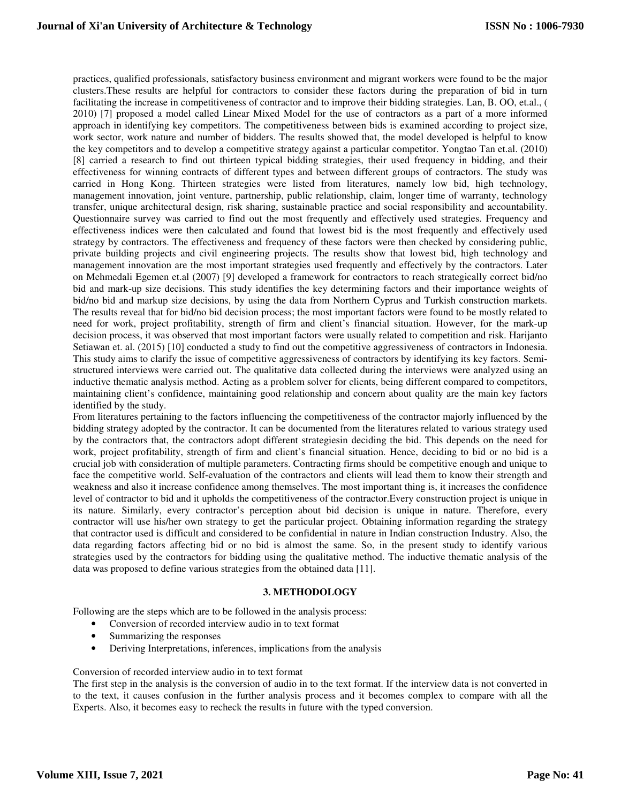practices, qualified professionals, satisfactory business environment and migrant workers were found to be the major clusters.These results are helpful for contractors to consider these factors during the preparation of bid in turn facilitating the increase in competitiveness of contractor and to improve their bidding strategies. Lan, B. OO, et.al., ( 2010) [7] proposed a model called Linear Mixed Model for the use of contractors as a part of a more informed approach in identifying key competitors. The competitiveness between bids is examined according to project size, work sector, work nature and number of bidders. The results showed that, the model developed is helpful to know the key competitors and to develop a competitive strategy against a particular competitor. Yongtao Tan et.al. (2010) [8] carried a research to find out thirteen typical bidding strategies, their used frequency in bidding, and their effectiveness for winning contracts of different types and between different groups of contractors. The study was carried in Hong Kong. Thirteen strategies were listed from literatures, namely low bid, high technology, management innovation, joint venture, partnership, public relationship, claim, longer time of warranty, technology transfer, unique architectural design, risk sharing, sustainable practice and social responsibility and accountability. Questionnaire survey was carried to find out the most frequently and effectively used strategies. Frequency and effectiveness indices were then calculated and found that lowest bid is the most frequently and effectively used strategy by contractors. The effectiveness and frequency of these factors were then checked by considering public, private building projects and civil engineering projects. The results show that lowest bid, high technology and management innovation are the most important strategies used frequently and effectively by the contractors. Later on Mehmedali Egemen et.al (2007) [9] developed a framework for contractors to reach strategically correct bid/no bid and mark-up size decisions. This study identifies the key determining factors and their importance weights of bid/no bid and markup size decisions, by using the data from Northern Cyprus and Turkish construction markets. The results reveal that for bid/no bid decision process; the most important factors were found to be mostly related to need for work, project profitability, strength of firm and client's financial situation. However, for the mark-up decision process, it was observed that most important factors were usually related to competition and risk. Harijanto Setiawan et. al. (2015) [10] conducted a study to find out the competitive aggressiveness of contractors in Indonesia. This study aims to clarify the issue of competitive aggressiveness of contractors by identifying its key factors. Semistructured interviews were carried out. The qualitative data collected during the interviews were analyzed using an inductive thematic analysis method. Acting as a problem solver for clients, being different compared to competitors, maintaining client's confidence, maintaining good relationship and concern about quality are the main key factors identified by the study.

From literatures pertaining to the factors influencing the competitiveness of the contractor majorly influenced by the bidding strategy adopted by the contractor. It can be documented from the literatures related to various strategy used by the contractors that, the contractors adopt different strategiesin deciding the bid. This depends on the need for work, project profitability, strength of firm and client's financial situation. Hence, deciding to bid or no bid is a crucial job with consideration of multiple parameters. Contracting firms should be competitive enough and unique to face the competitive world. Self-evaluation of the contractors and clients will lead them to know their strength and weakness and also it increase confidence among themselves. The most important thing is, it increases the confidence level of contractor to bid and it upholds the competitiveness of the contractor.Every construction project is unique in its nature. Similarly, every contractor's perception about bid decision is unique in nature. Therefore, every contractor will use his/her own strategy to get the particular project. Obtaining information regarding the strategy that contractor used is difficult and considered to be confidential in nature in Indian construction Industry. Also, the data regarding factors affecting bid or no bid is almost the same. So, in the present study to identify various strategies used by the contractors for bidding using the qualitative method. The inductive thematic analysis of the data was proposed to define various strategies from the obtained data [11].

## **3. METHODOLOGY**

Following are the steps which are to be followed in the analysis process:

- Conversion of recorded interview audio in to text format
- Summarizing the responses
- Deriving Interpretations, inferences, implications from the analysis

#### Conversion of recorded interview audio in to text format

The first step in the analysis is the conversion of audio in to the text format. If the interview data is not converted in to the text, it causes confusion in the further analysis process and it becomes complex to compare with all the Experts. Also, it becomes easy to recheck the results in future with the typed conversion.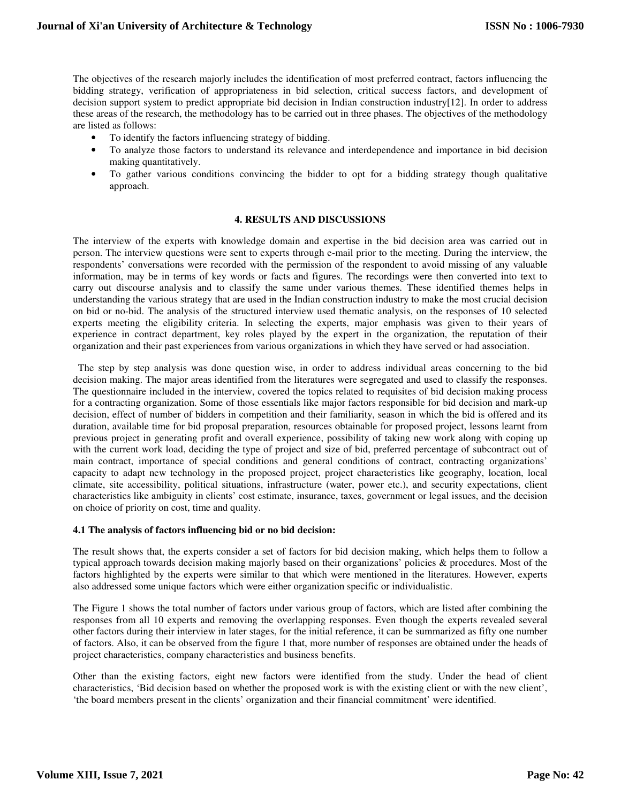The objectives of the research majorly includes the identification of most preferred contract, factors influencing the bidding strategy, verification of appropriateness in bid selection, critical success factors, and development of decision support system to predict appropriate bid decision in Indian construction industry[12]. In order to address these areas of the research, the methodology has to be carried out in three phases. The objectives of the methodology are listed as follows:

- To identify the factors influencing strategy of bidding.
- To analyze those factors to understand its relevance and interdependence and importance in bid decision making quantitatively.
- To gather various conditions convincing the bidder to opt for a bidding strategy though qualitative approach.

# **4. RESULTS AND DISCUSSIONS**

The interview of the experts with knowledge domain and expertise in the bid decision area was carried out in person. The interview questions were sent to experts through e-mail prior to the meeting. During the interview, the respondents' conversations were recorded with the permission of the respondent to avoid missing of any valuable information, may be in terms of key words or facts and figures. The recordings were then converted into text to carry out discourse analysis and to classify the same under various themes. These identified themes helps in understanding the various strategy that are used in the Indian construction industry to make the most crucial decision on bid or no-bid. The analysis of the structured interview used thematic analysis, on the responses of 10 selected experts meeting the eligibility criteria. In selecting the experts, major emphasis was given to their years of experience in contract department, key roles played by the expert in the organization, the reputation of their organization and their past experiences from various organizations in which they have served or had association.

 The step by step analysis was done question wise, in order to address individual areas concerning to the bid decision making. The major areas identified from the literatures were segregated and used to classify the responses. The questionnaire included in the interview, covered the topics related to requisites of bid decision making process for a contracting organization. Some of those essentials like major factors responsible for bid decision and mark-up decision, effect of number of bidders in competition and their familiarity, season in which the bid is offered and its duration, available time for bid proposal preparation, resources obtainable for proposed project, lessons learnt from previous project in generating profit and overall experience, possibility of taking new work along with coping up with the current work load, deciding the type of project and size of bid, preferred percentage of subcontract out of main contract, importance of special conditions and general conditions of contract, contracting organizations' capacity to adapt new technology in the proposed project, project characteristics like geography, location, local climate, site accessibility, political situations, infrastructure (water, power etc.), and security expectations, client characteristics like ambiguity in clients' cost estimate, insurance, taxes, government or legal issues, and the decision on choice of priority on cost, time and quality.

## **4.1 The analysis of factors influencing bid or no bid decision:**

The result shows that, the experts consider a set of factors for bid decision making, which helps them to follow a typical approach towards decision making majorly based on their organizations' policies & procedures. Most of the factors highlighted by the experts were similar to that which were mentioned in the literatures. However, experts also addressed some unique factors which were either organization specific or individualistic.

The Figure 1 shows the total number of factors under various group of factors, which are listed after combining the responses from all 10 experts and removing the overlapping responses. Even though the experts revealed several other factors during their interview in later stages, for the initial reference, it can be summarized as fifty one number of factors. Also, it can be observed from the figure 1 that, more number of responses are obtained under the heads of project characteristics, company characteristics and business benefits.

Other than the existing factors, eight new factors were identified from the study. Under the head of client characteristics, 'Bid decision based on whether the proposed work is with the existing client or with the new client', 'the board members present in the clients' organization and their financial commitment' were identified.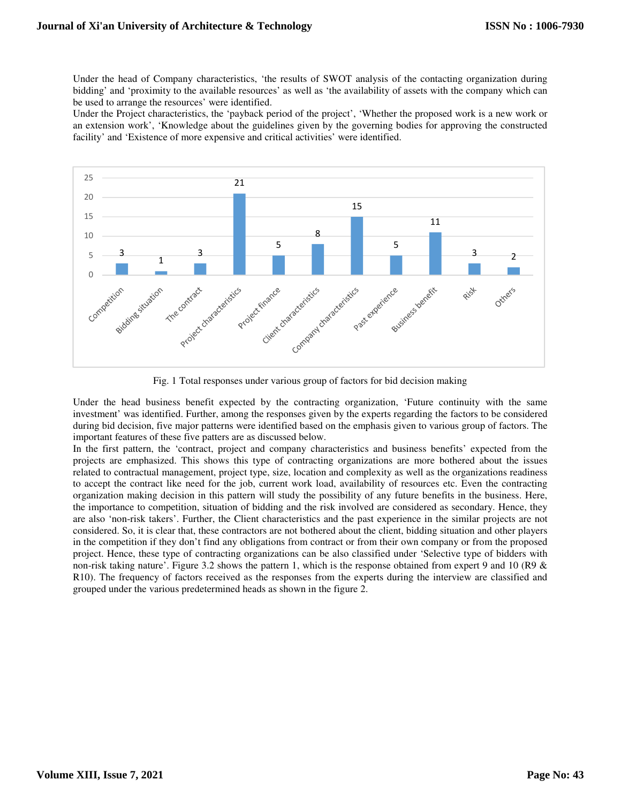Under the head of Company characteristics, 'the results of SWOT analysis of the contacting organization during bidding' and 'proximity to the available resources' as well as 'the availability of assets with the company which can be used to arrange the resources' were identified.

Under the Project characteristics, the 'payback period of the project', 'Whether the proposed work is a new work or an extension work', 'Knowledge about the guidelines given by the governing bodies for approving the constructed facility' and 'Existence of more expensive and critical activities' were identified.



Fig. 1 Total responses under various group of factors for bid decision making

Under the head business benefit expected by the contracting organization, 'Future continuity with the same investment' was identified. Further, among the responses given by the experts regarding the factors to be considered during bid decision, five major patterns were identified based on the emphasis given to various group of factors. The important features of these five patters are as discussed below.

In the first pattern, the 'contract, project and company characteristics and business benefits' expected from the projects are emphasized. This shows this type of contracting organizations are more bothered about the issues related to contractual management, project type, size, location and complexity as well as the organizations readiness to accept the contract like need for the job, current work load, availability of resources etc. Even the contracting organization making decision in this pattern will study the possibility of any future benefits in the business. Here, the importance to competition, situation of bidding and the risk involved are considered as secondary. Hence, they are also 'non-risk takers'. Further, the Client characteristics and the past experience in the similar projects are not considered. So, it is clear that, these contractors are not bothered about the client, bidding situation and other players in the competition if they don't find any obligations from contract or from their own company or from the proposed project. Hence, these type of contracting organizations can be also classified under 'Selective type of bidders with non-risk taking nature'. Figure 3.2 shows the pattern 1, which is the response obtained from expert 9 and 10 (R9 & R10). The frequency of factors received as the responses from the experts during the interview are classified and grouped under the various predetermined heads as shown in the figure 2.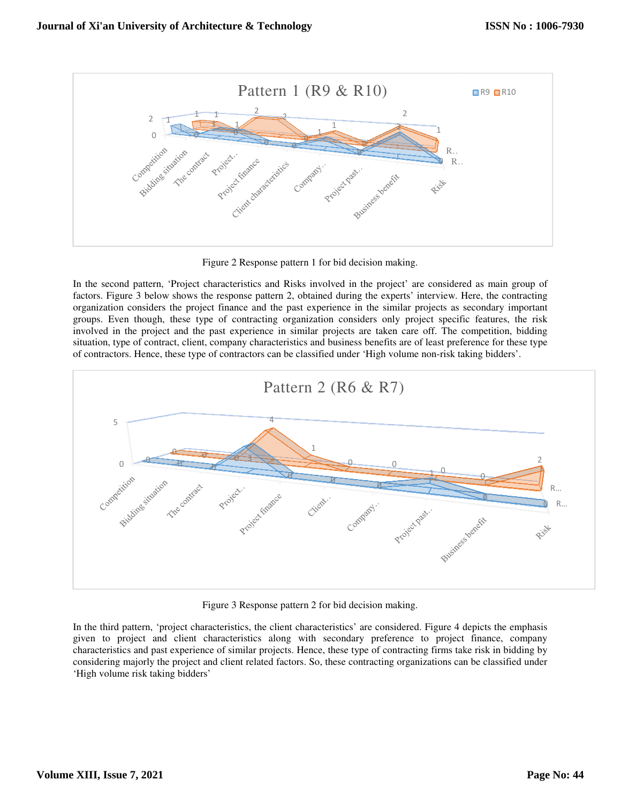

Figure 2 Response pattern 1 for bid decision making.

Figure 2 Response pattern 1 for bid decision making.<br>In the second pattern, 'Project characteristics and Risks involved in the project' are considered as main group of factors. Figure 3 below shows the response pattern 2, obtained during the experts' interview. Here, the contracting organization considers the project finance and the past experience in the similar projects as secondary im organization considers the project finance and the past experience in the similar projects as secondary important groups. Even though, these type of contracting organization considers only project specific features, the risk involved in the project and the past experience in similar projects are taken care off. The competition, bidding involved in the project and the past experience in similar projects are taken care off. The competition, bidding<br>situation, type of contract, client, company characteristics and business benefits are of least preference fo of contractors. Hence, these type of contractors can be classified under 'High volume non-risk taking bidders'.



Figure 3 Response pattern 2 for bid decision making.

Figure 3 Response pattern 2 for bid decision making.<br>In the third pattern, 'project characteristics, the client characteristics' are considered. Figure 4 depicts the emphasis given to project and client characteristics along with secondary preference to project finance, company characteristics and past experience of similar projects. Hence, these type of contracting firms take risk in bidding by considering majorly the project and client related factors. So, these contracting organizations can be classified under 'High volume risk taking bidders'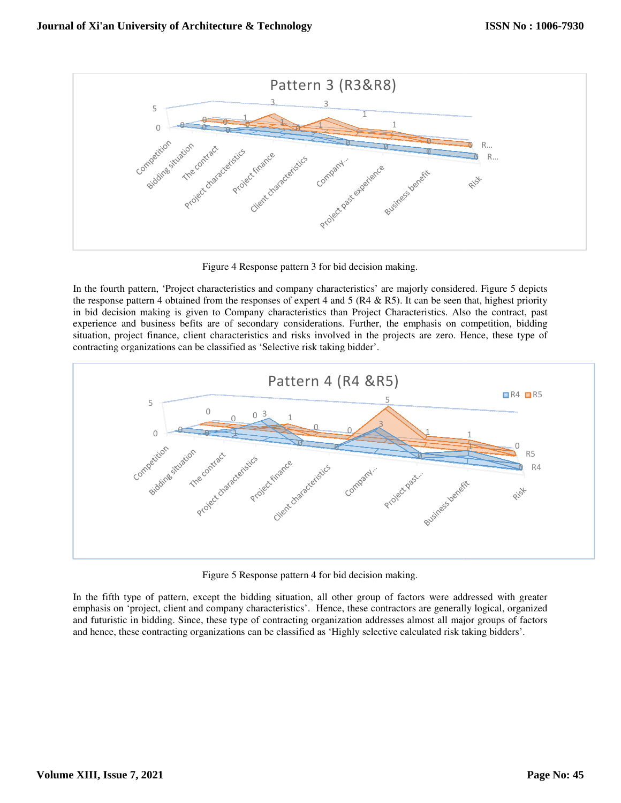

Figure 4 Response pattern 3 for bid decision making.

Figure 4 Response pattern 3 for bid decision making.<br>In the fourth pattern, 'Project characteristics and company characteristics' are majorly considered. Figure 5 depicts the response pattern 4 obtained from the responses of expert 4 and 5 ( $R4 \& R5$ ). It can be seen that, highest priority in bid decision making is given to Company characteristics than Project Characteristics. Also the contract, past experience and business befits are of secondary considerations. Further, the emphasis on competition, bidding situation, project finance, client characteristics and risks involved in the projects are zero. Hence, these type of contracting organizations can be classified as 'Selective risk taking bidder'.



Figure 5 Response pattern 4 for bid decision making.

In the fifth type of pattern, except the bidding situation, all other group of factors were addressed with greater emphasis on 'project, client and company characteristics'. Hence, these contractors are generally logical, organized and futuristic in bidding. Since, these type of contracting organization addresses almost all major groups of factors and futuristic in bidding. Since, these type of contracting organization addresses almost all major groups of fa<br>and hence, these contracting organizations can be classified as 'Highly selective calculated risk taking bidd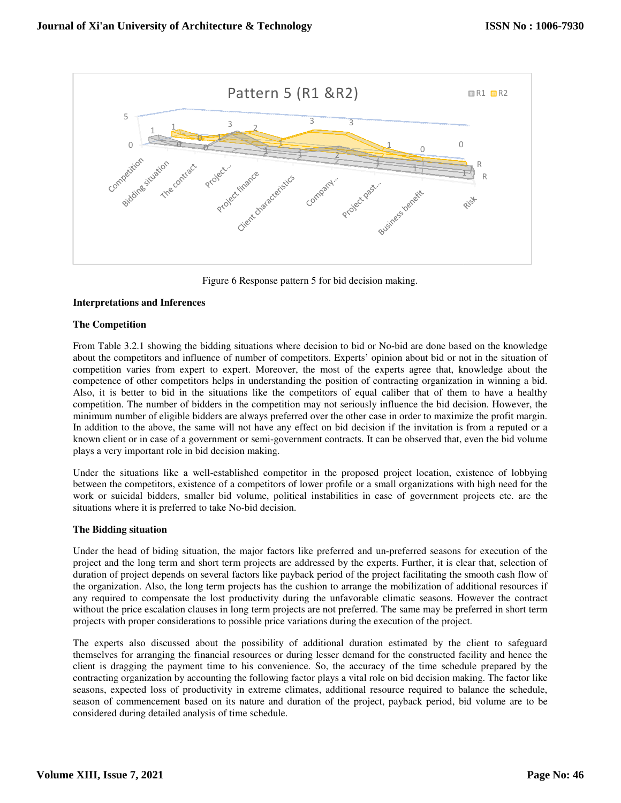

Figure 6 Response pattern 5 for bid decision making.

# **Interpretations and Inferences**

## **The Competition**

Figure 6 Response pattern 5 for bid decision making.<br> **Interpretations and Inferences**<br> **The Competition**<br>
From Table 3.2.1 showing the bidding situations where decision to bid or No-bid are done based on the knowledge about the competitors and influence of number of competitors. Experts' opinion about bid or not in the situation of competition varies from expert to expert. Moreover, the most of the experts agree that, knowledge about the competence of other competitors helps in understanding the position of contracting organization in winning a bid. Also, it is better to bid in the situations like the competitors of equal caliber that of them to have a healthy competition. The number of bidders in the competition may not seriously influence the bid decision. However, the minimum number of eligible bidders are always preferred over the other case in order to maximize the profit margin. In addition to the above, the same will not have any effect on bid decision if the invitation is from a reputed or a known client or in case of a government or semi-government contracts. It can be observed that, even the bid volume plays a very important role in bid decision making.

plays a very important role in bid decision making.<br>Under the situations like a well-established competitor in the proposed project location, existence of lobbying between the competitors, existence of a competitors of lower profile or a small organizations with high need for the work or suicidal bidders, smaller bid volume, political instabilities in case of government projects etc. are the situations where it is preferred to take No-bid decision. established competitor in the proposed project location, existence of lobbying<br>e of a competitors of lower profile or a small organizations with high need for the<br>bid volume, political instabilities in case of government p

## **The Bidding situation**

Under the head of biding situation, the major factors like preferred and un-preferred seasons for execution of the project and the long term and short term projects are addressed by the experts. Further, it is clear that, selection of duration of project depends on several factors like payback period of the project facilitating the smooth cash flow of the organization. Also, the long term projects has the cushion to arrange the mobilization of additional resources if any required to compensate the lost productivity during the unfavorable climatic seasons. However the contract any required to compensate the lost productivity during the unfavorable climatic seasons. However the contract<br>without the price escalation clauses in long term projects are not preferred. The same may be preferred in shor projects with proper considerations to possible price variations during the execution of the project.

projects with proper considerations to possible price variations during the execution of the project.<br>The experts also discussed about the possibility of additional duration estimated by the client to safeguard themselves for arranging the financial resources or during lesser demand for the constructed facility and hence the client is dragging the payment time to his convenience. So, the accuracy of the time schedule prepared by the contracting organization by accounting the following factor plays a vital role on bid decision making. The factor like seasons, expected loss of productivity in extreme climates, additional resource required to balance the schedule, season of commencement based on its nature and duration of the project, payback period, bid volume are to be considered during detailed analysis of time schedule.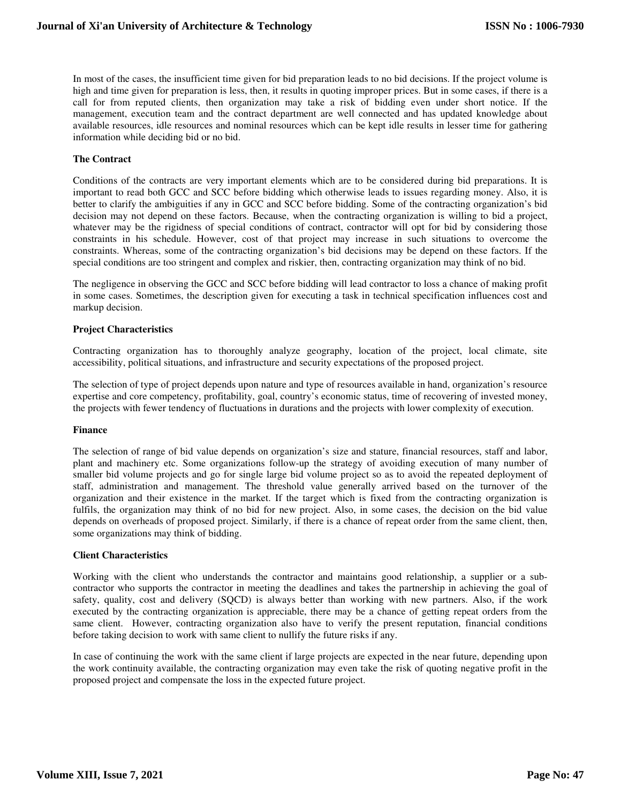In most of the cases, the insufficient time given for bid preparation leads to no bid decisions. If the project volume is high and time given for preparation is less, then, it results in quoting improper prices. But in some cases, if there is a call for from reputed clients, then organization may take a risk of bidding even under short notice. If the management, execution team and the contract department are well connected and has updated knowledge about available resources, idle resources and nominal resources which can be kept idle results in lesser time for gathering information while deciding bid or no bid.

## **The Contract**

Conditions of the contracts are very important elements which are to be considered during bid preparations. It is important to read both GCC and SCC before bidding which otherwise leads to issues regarding money. Also, it is better to clarify the ambiguities if any in GCC and SCC before bidding. Some of the contracting organization's bid decision may not depend on these factors. Because, when the contracting organization is willing to bid a project, whatever may be the rigidness of special conditions of contract, contractor will opt for bid by considering those constraints in his schedule. However, cost of that project may increase in such situations to overcome the constraints. Whereas, some of the contracting organization's bid decisions may be depend on these factors. If the special conditions are too stringent and complex and riskier, then, contracting organization may think of no bid.

The negligence in observing the GCC and SCC before bidding will lead contractor to loss a chance of making profit in some cases. Sometimes, the description given for executing a task in technical specification influences cost and markup decision.

#### **Project Characteristics**

Contracting organization has to thoroughly analyze geography, location of the project, local climate, site accessibility, political situations, and infrastructure and security expectations of the proposed project.

The selection of type of project depends upon nature and type of resources available in hand, organization's resource expertise and core competency, profitability, goal, country's economic status, time of recovering of invested money, the projects with fewer tendency of fluctuations in durations and the projects with lower complexity of execution.

#### **Finance**

The selection of range of bid value depends on organization's size and stature, financial resources, staff and labor, plant and machinery etc. Some organizations follow-up the strategy of avoiding execution of many number of smaller bid volume projects and go for single large bid volume project so as to avoid the repeated deployment of staff, administration and management. The threshold value generally arrived based on the turnover of the organization and their existence in the market. If the target which is fixed from the contracting organization is fulfils, the organization may think of no bid for new project. Also, in some cases, the decision on the bid value depends on overheads of proposed project. Similarly, if there is a chance of repeat order from the same client, then, some organizations may think of bidding.

## **Client Characteristics**

Working with the client who understands the contractor and maintains good relationship, a supplier or a subcontractor who supports the contractor in meeting the deadlines and takes the partnership in achieving the goal of safety, quality, cost and delivery (SQCD) is always better than working with new partners. Also, if the work executed by the contracting organization is appreciable, there may be a chance of getting repeat orders from the same client. However, contracting organization also have to verify the present reputation, financial conditions before taking decision to work with same client to nullify the future risks if any.

In case of continuing the work with the same client if large projects are expected in the near future, depending upon the work continuity available, the contracting organization may even take the risk of quoting negative profit in the proposed project and compensate the loss in the expected future project.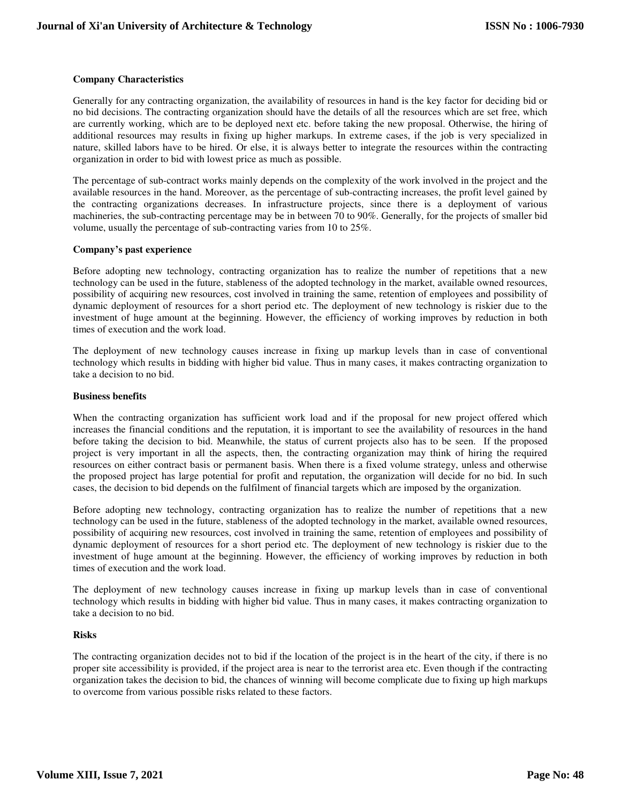# **Company Characteristics**

Generally for any contracting organization, the availability of resources in hand is the key factor for deciding bid or no bid decisions. The contracting organization should have the details of all the resources which are set free, which are currently working, which are to be deployed next etc. before taking the new proposal. Otherwise, the hiring of additional resources may results in fixing up higher markups. In extreme cases, if the job is very specialized in nature, skilled labors have to be hired. Or else, it is always better to integrate the resources within the contracting organization in order to bid with lowest price as much as possible.

The percentage of sub-contract works mainly depends on the complexity of the work involved in the project and the available resources in the hand. Moreover, as the percentage of sub-contracting increases, the profit level gained by the contracting organizations decreases. In infrastructure projects, since there is a deployment of various machineries, the sub-contracting percentage may be in between 70 to 90%. Generally, for the projects of smaller bid volume, usually the percentage of sub-contracting varies from 10 to 25%.

## **Company's past experience**

Before adopting new technology, contracting organization has to realize the number of repetitions that a new technology can be used in the future, stableness of the adopted technology in the market, available owned resources, possibility of acquiring new resources, cost involved in training the same, retention of employees and possibility of dynamic deployment of resources for a short period etc. The deployment of new technology is riskier due to the investment of huge amount at the beginning. However, the efficiency of working improves by reduction in both times of execution and the work load.

The deployment of new technology causes increase in fixing up markup levels than in case of conventional technology which results in bidding with higher bid value. Thus in many cases, it makes contracting organization to take a decision to no bid.

## **Business benefits**

When the contracting organization has sufficient work load and if the proposal for new project offered which increases the financial conditions and the reputation, it is important to see the availability of resources in the hand before taking the decision to bid. Meanwhile, the status of current projects also has to be seen. If the proposed project is very important in all the aspects, then, the contracting organization may think of hiring the required resources on either contract basis or permanent basis. When there is a fixed volume strategy, unless and otherwise the proposed project has large potential for profit and reputation, the organization will decide for no bid. In such cases, the decision to bid depends on the fulfilment of financial targets which are imposed by the organization.

Before adopting new technology, contracting organization has to realize the number of repetitions that a new technology can be used in the future, stableness of the adopted technology in the market, available owned resources, possibility of acquiring new resources, cost involved in training the same, retention of employees and possibility of dynamic deployment of resources for a short period etc. The deployment of new technology is riskier due to the investment of huge amount at the beginning. However, the efficiency of working improves by reduction in both times of execution and the work load.

The deployment of new technology causes increase in fixing up markup levels than in case of conventional technology which results in bidding with higher bid value. Thus in many cases, it makes contracting organization to take a decision to no bid.

# **Risks**

The contracting organization decides not to bid if the location of the project is in the heart of the city, if there is no proper site accessibility is provided, if the project area is near to the terrorist area etc. Even though if the contracting organization takes the decision to bid, the chances of winning will become complicate due to fixing up high markups to overcome from various possible risks related to these factors.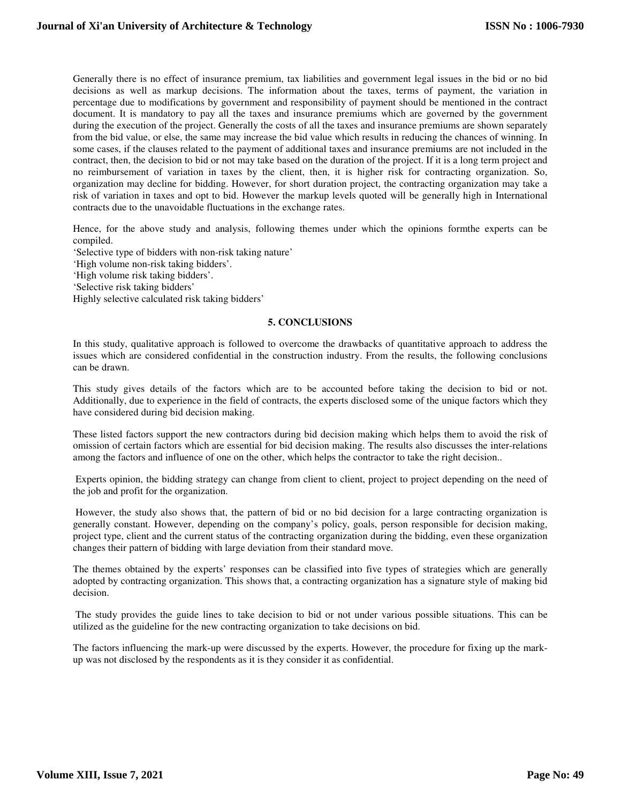Generally there is no effect of insurance premium, tax liabilities and government legal issues in the bid or no bid decisions as well as markup decisions. The information about the taxes, terms of payment, the variation in percentage due to modifications by government and responsibility of payment should be mentioned in the contract document. It is mandatory to pay all the taxes and insurance premiums which are governed by the government during the execution of the project. Generally the costs of all the taxes and insurance premiums are shown separately from the bid value, or else, the same may increase the bid value which results in reducing the chances of winning. In some cases, if the clauses related to the payment of additional taxes and insurance premiums are not included in the contract, then, the decision to bid or not may take based on the duration of the project. If it is a long term project and no reimbursement of variation in taxes by the client, then, it is higher risk for contracting organization. So, organization may decline for bidding. However, for short duration project, the contracting organization may take a risk of variation in taxes and opt to bid. However the markup levels quoted will be generally high in International contracts due to the unavoidable fluctuations in the exchange rates.

Hence, for the above study and analysis, following themes under which the opinions formthe experts can be compiled.

'Selective type of bidders with non-risk taking nature' 'High volume non-risk taking bidders'. 'High volume risk taking bidders'.

'Selective risk taking bidders'

Highly selective calculated risk taking bidders'

#### **5. CONCLUSIONS**

In this study, qualitative approach is followed to overcome the drawbacks of quantitative approach to address the issues which are considered confidential in the construction industry. From the results, the following conclusions can be drawn.

This study gives details of the factors which are to be accounted before taking the decision to bid or not. Additionally, due to experience in the field of contracts, the experts disclosed some of the unique factors which they have considered during bid decision making.

These listed factors support the new contractors during bid decision making which helps them to avoid the risk of omission of certain factors which are essential for bid decision making. The results also discusses the inter-relations among the factors and influence of one on the other, which helps the contractor to take the right decision..

 Experts opinion, the bidding strategy can change from client to client, project to project depending on the need of the job and profit for the organization.

 However, the study also shows that, the pattern of bid or no bid decision for a large contracting organization is generally constant. However, depending on the company's policy, goals, person responsible for decision making, project type, client and the current status of the contracting organization during the bidding, even these organization changes their pattern of bidding with large deviation from their standard move.

The themes obtained by the experts' responses can be classified into five types of strategies which are generally adopted by contracting organization. This shows that, a contracting organization has a signature style of making bid decision.

 The study provides the guide lines to take decision to bid or not under various possible situations. This can be utilized as the guideline for the new contracting organization to take decisions on bid.

The factors influencing the mark-up were discussed by the experts. However, the procedure for fixing up the markup was not disclosed by the respondents as it is they consider it as confidential.